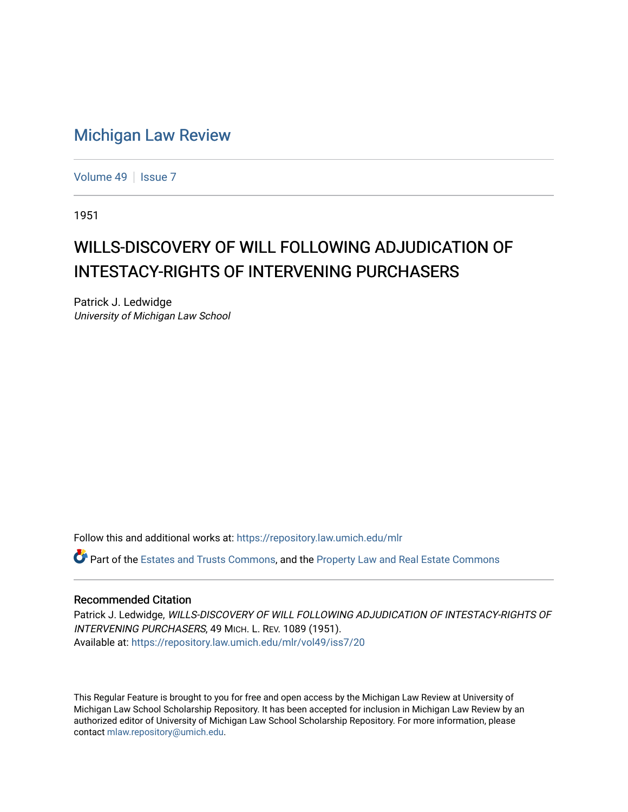## [Michigan Law Review](https://repository.law.umich.edu/mlr)

[Volume 49](https://repository.law.umich.edu/mlr/vol49) | [Issue 7](https://repository.law.umich.edu/mlr/vol49/iss7)

1951

## WILLS-DISCOVERY OF WILL FOLLOWING ADJUDICATION OF INTESTACY-RIGHTS OF INTERVENING PURCHASERS

Patrick J. Ledwidge University of Michigan Law School

Follow this and additional works at: [https://repository.law.umich.edu/mlr](https://repository.law.umich.edu/mlr?utm_source=repository.law.umich.edu%2Fmlr%2Fvol49%2Fiss7%2F20&utm_medium=PDF&utm_campaign=PDFCoverPages) 

Part of the [Estates and Trusts Commons,](https://network.bepress.com/hgg/discipline/906?utm_source=repository.law.umich.edu%2Fmlr%2Fvol49%2Fiss7%2F20&utm_medium=PDF&utm_campaign=PDFCoverPages) and the [Property Law and Real Estate Commons](https://network.bepress.com/hgg/discipline/897?utm_source=repository.law.umich.edu%2Fmlr%2Fvol49%2Fiss7%2F20&utm_medium=PDF&utm_campaign=PDFCoverPages)

## Recommended Citation

Patrick J. Ledwidge, WILLS-DISCOVERY OF WILL FOLLOWING ADJUDICATION OF INTESTACY-RIGHTS OF INTERVENING PURCHASERS, 49 MICH. L. REV. 1089 (1951). Available at: [https://repository.law.umich.edu/mlr/vol49/iss7/20](https://repository.law.umich.edu/mlr/vol49/iss7/20?utm_source=repository.law.umich.edu%2Fmlr%2Fvol49%2Fiss7%2F20&utm_medium=PDF&utm_campaign=PDFCoverPages) 

This Regular Feature is brought to you for free and open access by the Michigan Law Review at University of Michigan Law School Scholarship Repository. It has been accepted for inclusion in Michigan Law Review by an authorized editor of University of Michigan Law School Scholarship Repository. For more information, please contact [mlaw.repository@umich.edu](mailto:mlaw.repository@umich.edu).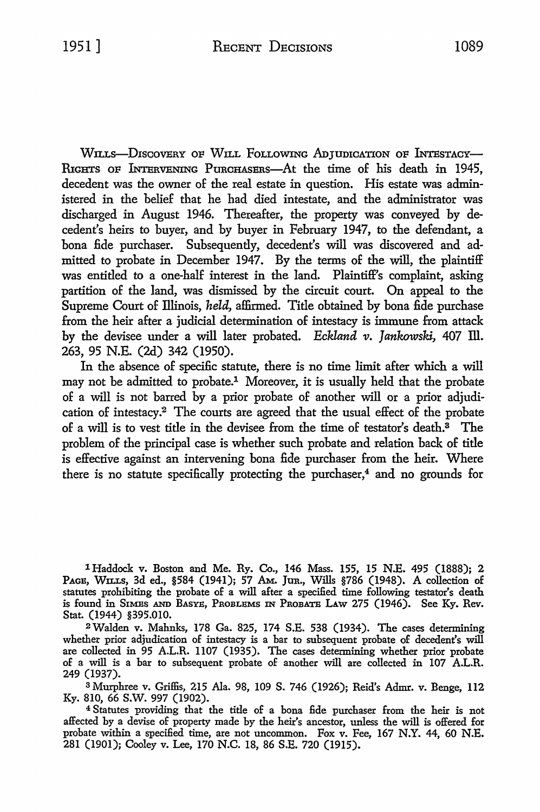WILLS-DISCOVERY OF WILL FOLLOWING ADTUDICATION OF INTESTACY-RIGHTS OF INTERVENING PURCHASERS—At the time of his death in 1945, decedent was the owner of the real estate in question. His estate was administered in the belief that he had died intestate, and the administrator was discharged in August 1946. Thereafter, the property was conveyed by decedent's heirs to buyer, and by buyer in February 1947, to the defendant, a bona fide purchaser. Subsequently, decedent's will was discovered and admitted to probate in December 1947. By the terms of the will, the plaintiff was entitled to a one-half interest in the land. Plaintiff's complaint, asking partition of the land, was dismissed by the circuit court. On appeal to the Supreme Court of Illinois, *held,* affirmed. Title obtained by bona fide purchase from the heir after a judicial determination of intestacy is immune from attack by the devisee under a will later probated. *Eckland v. Jankowski,* 407 Ill. 263, 95 N.E. (2d) 342 (1950).

In the absence of specific statute, there is no time limit after which a will may not be admitted to probate.1 Moreover, it is usually held that the probate of a will is not barred by a prior probate of another will or a prior adjudication of intestacy.2 The courts are agreed that the usual effect of the probate of a will is to vest title in the devisee from the time of testator's death.3 The problem of the principal case is whether such probate and relation back of title is effective against an intervening bona fide purchaser from the heir. Where there is no statute specifically protecting the purchaser, $4$  and no grounds for

1 Haddock v. Boston and Me. Ry. Co., 146 Mass. 155, 15 N.E. 495 (1888); 2 PAGE, WILLS, 3d ed., §584 (1941); 57 AM. JUR., Wills §786 (1948). A collection of statutes prohibiting the probate of a will after a specified time following testator's death is found in SIMES AND BASYE, PROBLEMS IN PROBATE LAW 275 (1946). See Ky. Rev. Stat. (1944) §395.010.

<sup>2</sup> Walden v. Mahnks, 178 Ga. 825, 174 S.E. 538 (1934). The cases determining whether prior adjudication of intestacy is a bar to subsequent probate of decedent's will are collected in 95 A.L.R. 1107 (1935). The cases determining whether prior probate of a will is a bar to subsequent probate of another will are collected in 107 A.L.R. 249 (1937).

3 Murphree v. Griffis, 215 Ala. 98, 109 S. 746 (1926); Reid's Admr. v. Benge, 112 Ky. 810, 66 S.W. 997 (1902).

4 Statutes providing that the title of a bona fide purchaser from the heir is not affected by a devise of property made by the heir's ancestor, unless the will is offered for probate within a specified time, are not uncommon. Fox v. Fee, 167 N.Y. 44, 60 N.E. 281 (1901); Cooley v. Lee, 170 N.C. 18, 86 S.E. 720 (1915).